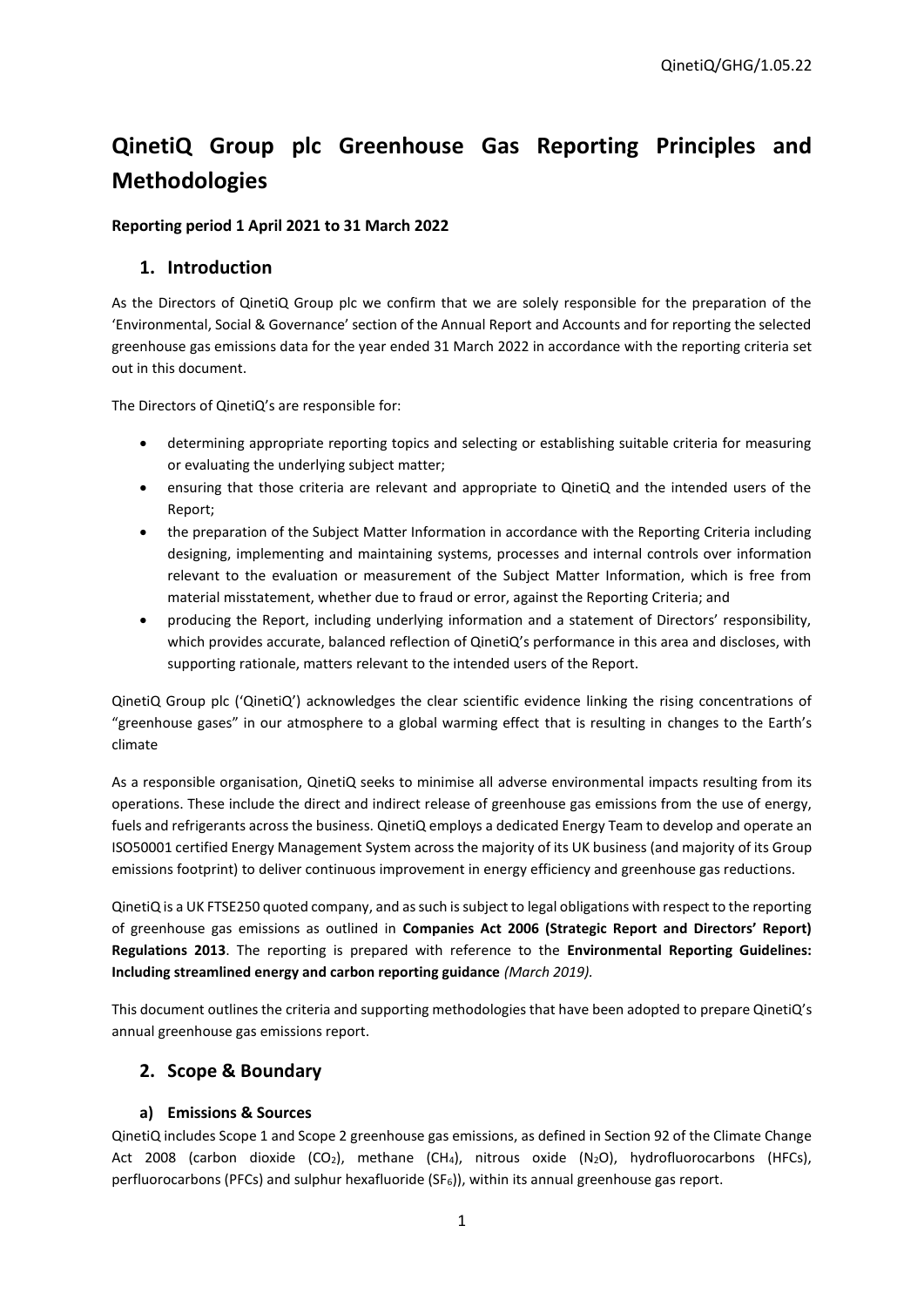# **QinetiQ Group plc Greenhouse Gas Reporting Principles and Methodologies**

## **Reporting period 1 April 2021 to 31 March 2022**

## **1. Introduction**

As the Directors of QinetiQ Group plc we confirm that we are solely responsible for the preparation of the 'Environmental, Social & Governance' section of the Annual Report and Accounts and for reporting the selected greenhouse gas emissions data for the year ended 31 March 2022 in accordance with the reporting criteria set out in this document.

The Directors of QinetiQ's are responsible for:

- determining appropriate reporting topics and selecting or establishing suitable criteria for measuring or evaluating the underlying subject matter;
- ensuring that those criteria are relevant and appropriate to QinetiQ and the intended users of the Report;
- the preparation of the Subject Matter Information in accordance with the Reporting Criteria including designing, implementing and maintaining systems, processes and internal controls over information relevant to the evaluation or measurement of the Subject Matter Information, which is free from material misstatement, whether due to fraud or error, against the Reporting Criteria; and
- producing the Report, including underlying information and a statement of Directors' responsibility, which provides accurate, balanced reflection of QinetiQ's performance in this area and discloses, with supporting rationale, matters relevant to the intended users of the Report.

QinetiQ Group plc ('QinetiQ') acknowledges the clear scientific evidence linking the rising concentrations of "greenhouse gases" in our atmosphere to a global warming effect that is resulting in changes to the Earth's climate

As a responsible organisation, QinetiQ seeks to minimise all adverse environmental impacts resulting from its operations. These include the direct and indirect release of greenhouse gas emissions from the use of energy, fuels and refrigerants across the business. QinetiQ employs a dedicated Energy Team to develop and operate an ISO50001 certified Energy Management System across the majority of its UK business (and majority of its Group emissions footprint) to deliver continuous improvement in energy efficiency and greenhouse gas reductions.

QinetiQ is a UK FTSE250 quoted company, and as such is subject to legal obligations with respect to the reporting of greenhouse gas emissions as outlined in **Companies Act 2006 (Strategic Report and Directors' Report) Regulations 2013**. The reporting is prepared with reference to the **Environmental Reporting Guidelines: Including streamlined energy and carbon reporting guidance** *(March 2019).*

This document outlines the criteria and supporting methodologies that have been adopted to prepare QinetiQ's annual greenhouse gas emissions report.

# **2. Scope & Boundary**

### **a) Emissions & Sources**

QinetiQ includes Scope 1 and Scope 2 greenhouse gas emissions, as defined in Section 92 of the Climate Change Act 2008 (carbon dioxide  $(CO_2)$ , methane  $(CH_4)$ , nitrous oxide  $(N_2O)$ , hydrofluorocarbons (HFCs), perfluorocarbons (PFCs) and sulphur hexafluoride (SF6)), within its annual greenhouse gas report.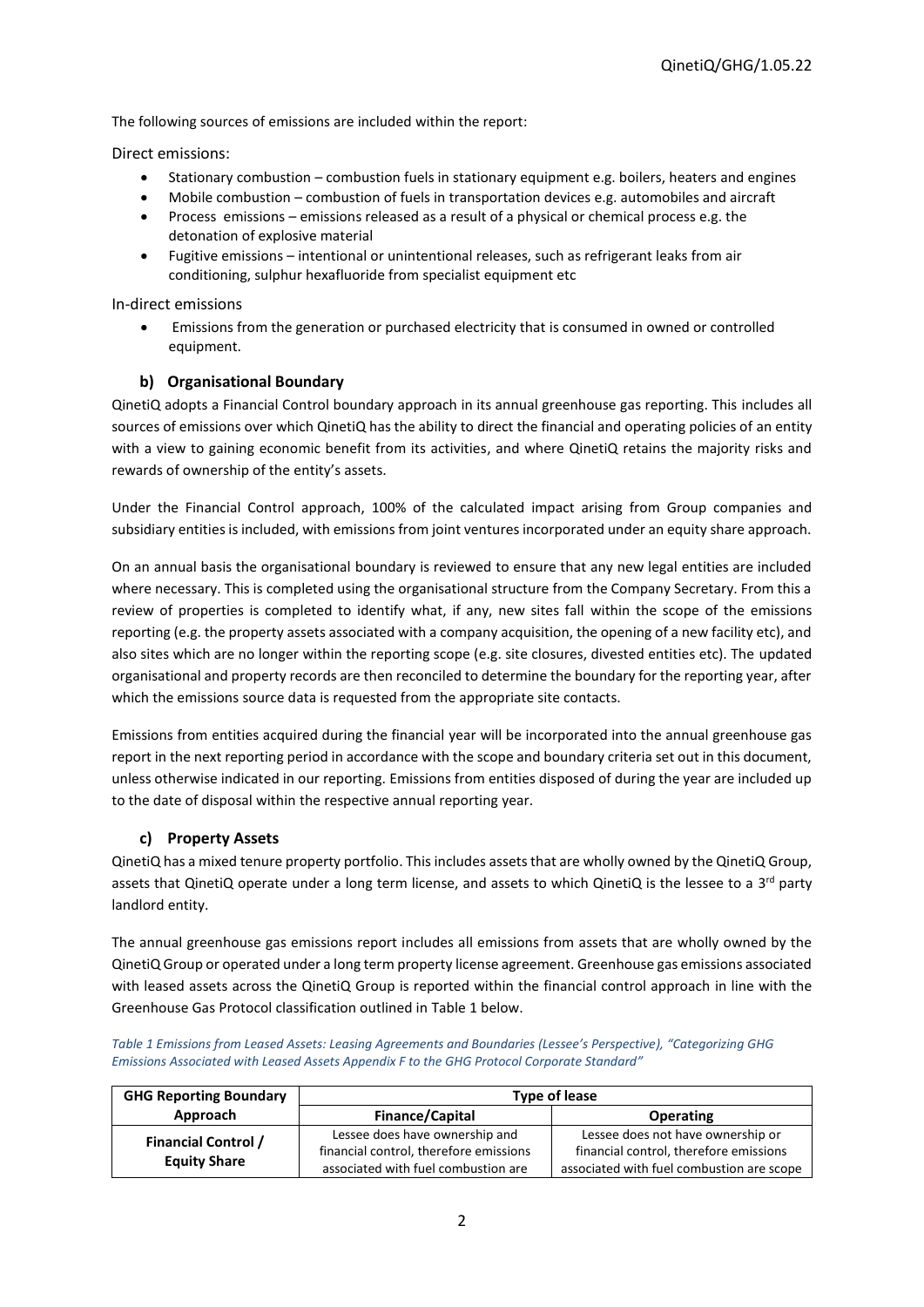The following sources of emissions are included within the report:

Direct emissions:

- Stationary combustion combustion fuels in stationary equipment e.g. boilers, heaters and engines
- Mobile combustion combustion of fuels in transportation devices e.g. automobiles and aircraft
- Process emissions emissions released as a result of a physical or chemical process e.g. the detonation of explosive material
- Fugitive emissions intentional or unintentional releases, such as refrigerant leaks from air conditioning, sulphur hexafluoride from specialist equipment etc

In-direct emissions

 Emissions from the generation or purchased electricity that is consumed in owned or controlled equipment.

### **b) Organisational Boundary**

QinetiQ adopts a Financial Control boundary approach in its annual greenhouse gas reporting. This includes all sources of emissions over which QinetiQ has the ability to direct the financial and operating policies of an entity with a view to gaining economic benefit from its activities, and where QinetiQ retains the majority risks and rewards of ownership of the entity's assets.

Under the Financial Control approach, 100% of the calculated impact arising from Group companies and subsidiary entities is included, with emissions from joint ventures incorporated under an equity share approach.

On an annual basis the organisational boundary is reviewed to ensure that any new legal entities are included where necessary. This is completed using the organisational structure from the Company Secretary. From this a review of properties is completed to identify what, if any, new sites fall within the scope of the emissions reporting (e.g. the property assets associated with a company acquisition, the opening of a new facility etc), and also sites which are no longer within the reporting scope (e.g. site closures, divested entities etc). The updated organisational and property records are then reconciled to determine the boundary for the reporting year, after which the emissions source data is requested from the appropriate site contacts.

Emissions from entities acquired during the financial year will be incorporated into the annual greenhouse gas report in the next reporting period in accordance with the scope and boundary criteria set out in this document, unless otherwise indicated in our reporting. Emissions from entities disposed of during the year are included up to the date of disposal within the respective annual reporting year.

### **c) Property Assets**

QinetiQ has a mixed tenure property portfolio. This includes assets that are wholly owned by the QinetiQ Group, assets that QinetiQ operate under a long term license, and assets to which QinetiQ is the lessee to a 3<sup>rd</sup> party landlord entity.

The annual greenhouse gas emissions report includes all emissions from assets that are wholly owned by the QinetiQ Group or operated under a long term property license agreement. Greenhouse gas emissions associated with leased assets across the QinetiQ Group is reported within the financial control approach in line with the Greenhouse Gas Protocol classification outlined in [Table 1](#page-1-0) below.

<span id="page-1-0"></span>*Table 1 Emissions from Leased Assets: Leasing Agreements and Boundaries (Lessee's Perspective), "Categorizing GHG Emissions Associated with Leased Assets Appendix F to the GHG Protocol Corporate Standard"*

| <b>GHG Reporting Boundary</b>                     | <b>Type of lease</b>                                                                                            |                                                                                                                          |
|---------------------------------------------------|-----------------------------------------------------------------------------------------------------------------|--------------------------------------------------------------------------------------------------------------------------|
| Approach                                          | <b>Finance/Capital</b>                                                                                          | <b>Operating</b>                                                                                                         |
| <b>Financial Control /</b><br><b>Equity Share</b> | Lessee does have ownership and<br>financial control, therefore emissions<br>associated with fuel combustion are | Lessee does not have ownership or<br>financial control, therefore emissions<br>associated with fuel combustion are scope |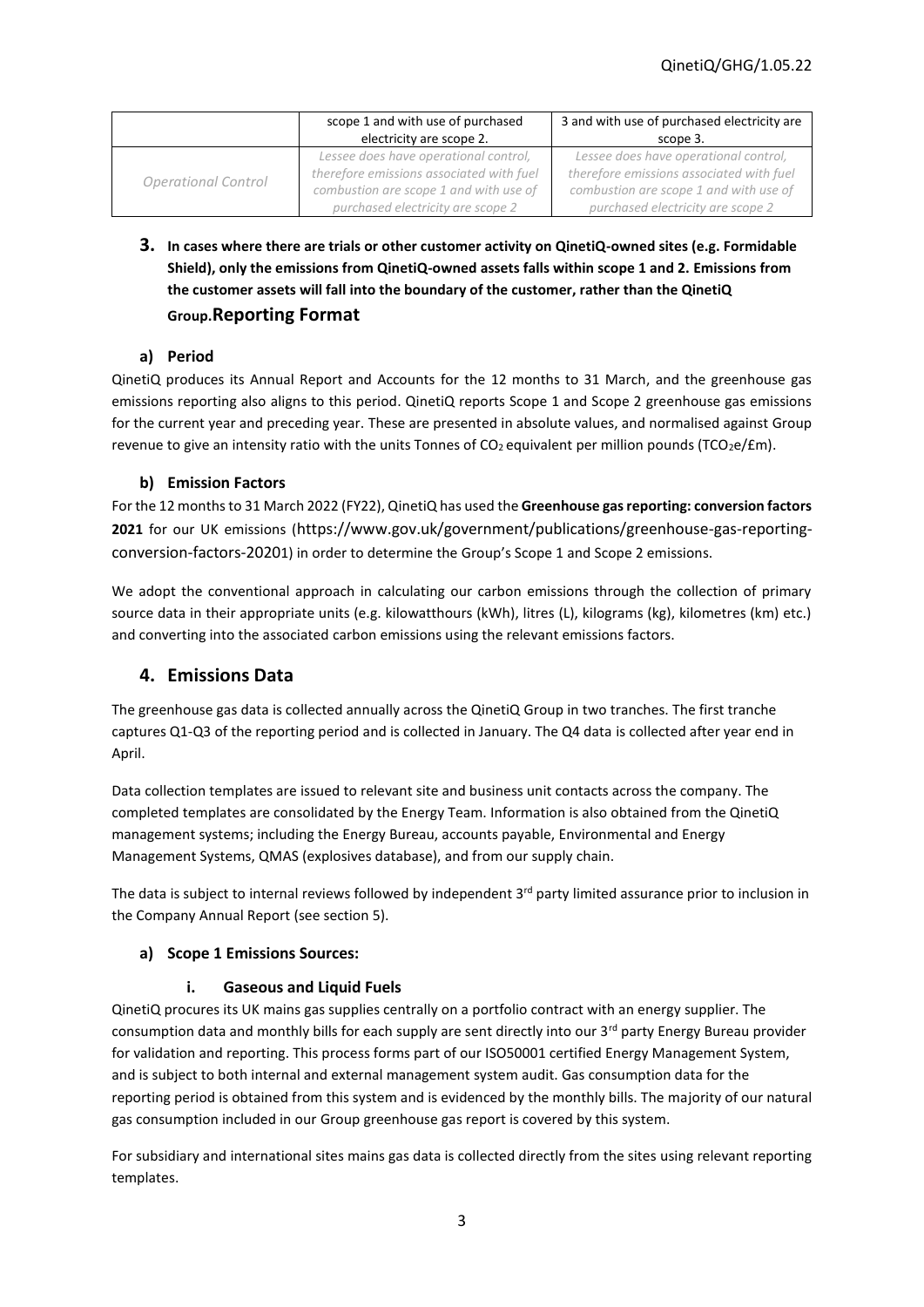|                     | scope 1 and with use of purchased        | 3 and with use of purchased electricity are |
|---------------------|------------------------------------------|---------------------------------------------|
|                     | electricity are scope 2.                 | scope 3.                                    |
| Operational Control | Lessee does have operational control,    | Lessee does have operational control,       |
|                     | therefore emissions associated with fuel | therefore emissions associated with fuel    |
|                     | combustion are scope 1 and with use of   | combustion are scope 1 and with use of      |
|                     | purchased electricity are scope 2        | purchased electricity are scope 2           |

**3. In cases where there are trials or other customer activity on QinetiQ-owned sites (e.g. Formidable Shield), only the emissions from QinetiQ-owned assets falls within scope 1 and 2. Emissions from the customer assets will fall into the boundary of the customer, rather than the QinetiQ Group.Reporting Format** 

## **a) Period**

QinetiQ produces its Annual Report and Accounts for the 12 months to 31 March, and the greenhouse gas emissions reporting also aligns to this period. QinetiQ reports Scope 1 and Scope 2 greenhouse gas emissions for the current year and preceding year. These are presented in absolute values, and normalised against Group revenue to give an intensity ratio with the units Tonnes of  $CO<sub>2</sub>$  equivalent per million pounds (TCO<sub>2</sub>e/£m).

## **b) Emission Factors**

For the 12 months to 31 March 2022 (FY22), QinetiQ has used the **Greenhouse gas reporting: conversion factors 2021** for our UK emissions (https://www.gov.uk/government/publications/greenhouse-gas-reportingconversion-factors-20201) in order to determine the Group's Scope 1 and Scope 2 emissions.

We adopt the conventional approach in calculating our carbon emissions through the collection of primary source data in their appropriate units (e.g. kilowatthours (kWh), litres (L), kilograms (kg), kilometres (km) etc.) and converting into the associated carbon emissions using the relevant emissions factors.

# **4. Emissions Data**

The greenhouse gas data is collected annually across the QinetiQ Group in two tranches. The first tranche captures Q1-Q3 of the reporting period and is collected in January. The Q4 data is collected after year end in April.

Data collection templates are issued to relevant site and business unit contacts across the company. The completed templates are consolidated by the Energy Team. Information is also obtained from the QinetiQ management systems; including the Energy Bureau, accounts payable, Environmental and Energy Management Systems, QMAS (explosives database), and from our supply chain.

The data is subject to internal reviews followed by independent  $3<sup>rd</sup>$  party limited assurance prior to inclusion in the Company Annual Report (see section 5).

## **a) Scope 1 Emissions Sources:**

## **i. Gaseous and Liquid Fuels**

QinetiQ procures its UK mains gas supplies centrally on a portfolio contract with an energy supplier. The consumption data and monthly bills for each supply are sent directly into our 3<sup>rd</sup> party Energy Bureau provider for validation and reporting. This process forms part of our ISO50001 certified Energy Management System, and is subject to both internal and external management system audit. Gas consumption data for the reporting period is obtained from this system and is evidenced by the monthly bills. The majority of our natural gas consumption included in our Group greenhouse gas report is covered by this system.

For subsidiary and international sites mains gas data is collected directly from the sites using relevant reporting templates.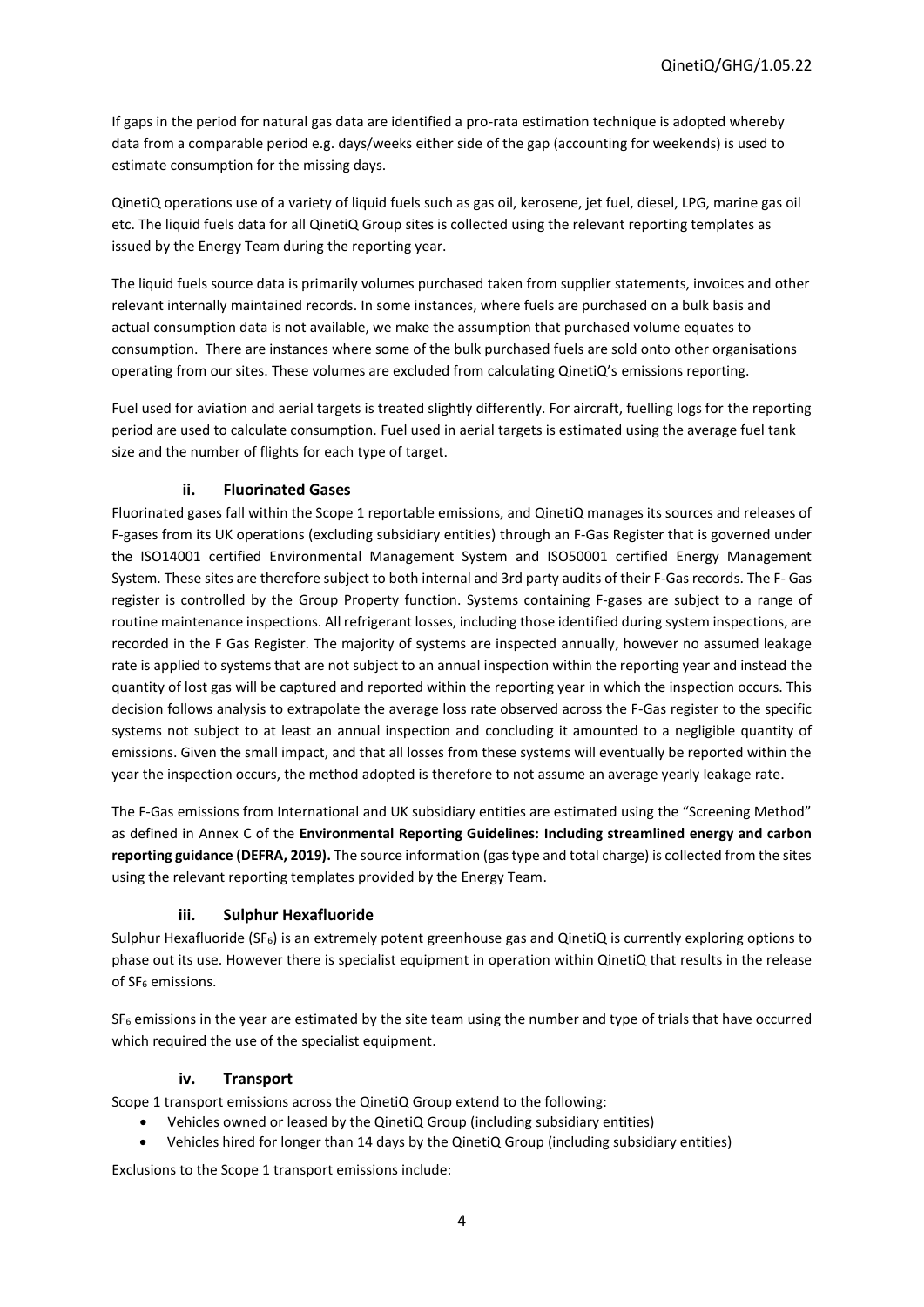If gaps in the period for natural gas data are identified a pro-rata estimation technique is adopted whereby data from a comparable period e.g. days/weeks either side of the gap (accounting for weekends) is used to estimate consumption for the missing days.

QinetiQ operations use of a variety of liquid fuels such as gas oil, kerosene, jet fuel, diesel, LPG, marine gas oil etc. The liquid fuels data for all QinetiQ Group sites is collected using the relevant reporting templates as issued by the Energy Team during the reporting year.

The liquid fuels source data is primarily volumes purchased taken from supplier statements, invoices and other relevant internally maintained records. In some instances, where fuels are purchased on a bulk basis and actual consumption data is not available, we make the assumption that purchased volume equates to consumption. There are instances where some of the bulk purchased fuels are sold onto other organisations operating from our sites. These volumes are excluded from calculating QinetiQ's emissions reporting.

Fuel used for aviation and aerial targets is treated slightly differently. For aircraft, fuelling logs for the reporting period are used to calculate consumption. Fuel used in aerial targets is estimated using the average fuel tank size and the number of flights for each type of target.

## **ii. Fluorinated Gases**

Fluorinated gases fall within the Scope 1 reportable emissions, and QinetiQ manages its sources and releases of F-gases from its UK operations (excluding subsidiary entities) through an F-Gas Register that is governed under the ISO14001 certified Environmental Management System and ISO50001 certified Energy Management System. These sites are therefore subject to both internal and 3rd party audits of their F-Gas records. The F- Gas register is controlled by the Group Property function. Systems containing F-gases are subject to a range of routine maintenance inspections. All refrigerant losses, including those identified during system inspections, are recorded in the F Gas Register. The majority of systems are inspected annually, however no assumed leakage rate is applied to systems that are not subject to an annual inspection within the reporting year and instead the quantity of lost gas will be captured and reported within the reporting year in which the inspection occurs. This decision follows analysis to extrapolate the average loss rate observed across the F-Gas register to the specific systems not subject to at least an annual inspection and concluding it amounted to a negligible quantity of emissions. Given the small impact, and that all losses from these systems will eventually be reported within the year the inspection occurs, the method adopted is therefore to not assume an average yearly leakage rate.

The F-Gas emissions from International and UK subsidiary entities are estimated using the "Screening Method" as defined in Annex C of the **Environmental Reporting Guidelines: Including streamlined energy and carbon reporting guidance (DEFRA, 2019).** The source information (gas type and total charge) is collected from the sites using the relevant reporting templates provided by the Energy Team.

### **iii. Sulphur Hexafluoride**

Sulphur Hexafluoride (SF6) is an extremely potent greenhouse gas and QinetiQ is currently exploring options to phase out its use. However there is specialist equipment in operation within QinetiQ that results in the release of SF<sub>6</sub> emissions.

 $SF<sub>6</sub>$  emissions in the year are estimated by the site team using the number and type of trials that have occurred which required the use of the specialist equipment.

### **iv. Transport**

Scope 1 transport emissions across the QinetiQ Group extend to the following:

- Vehicles owned or leased by the QinetiQ Group (including subsidiary entities)
- Vehicles hired for longer than 14 days by the QinetiQ Group (including subsidiary entities)

Exclusions to the Scope 1 transport emissions include: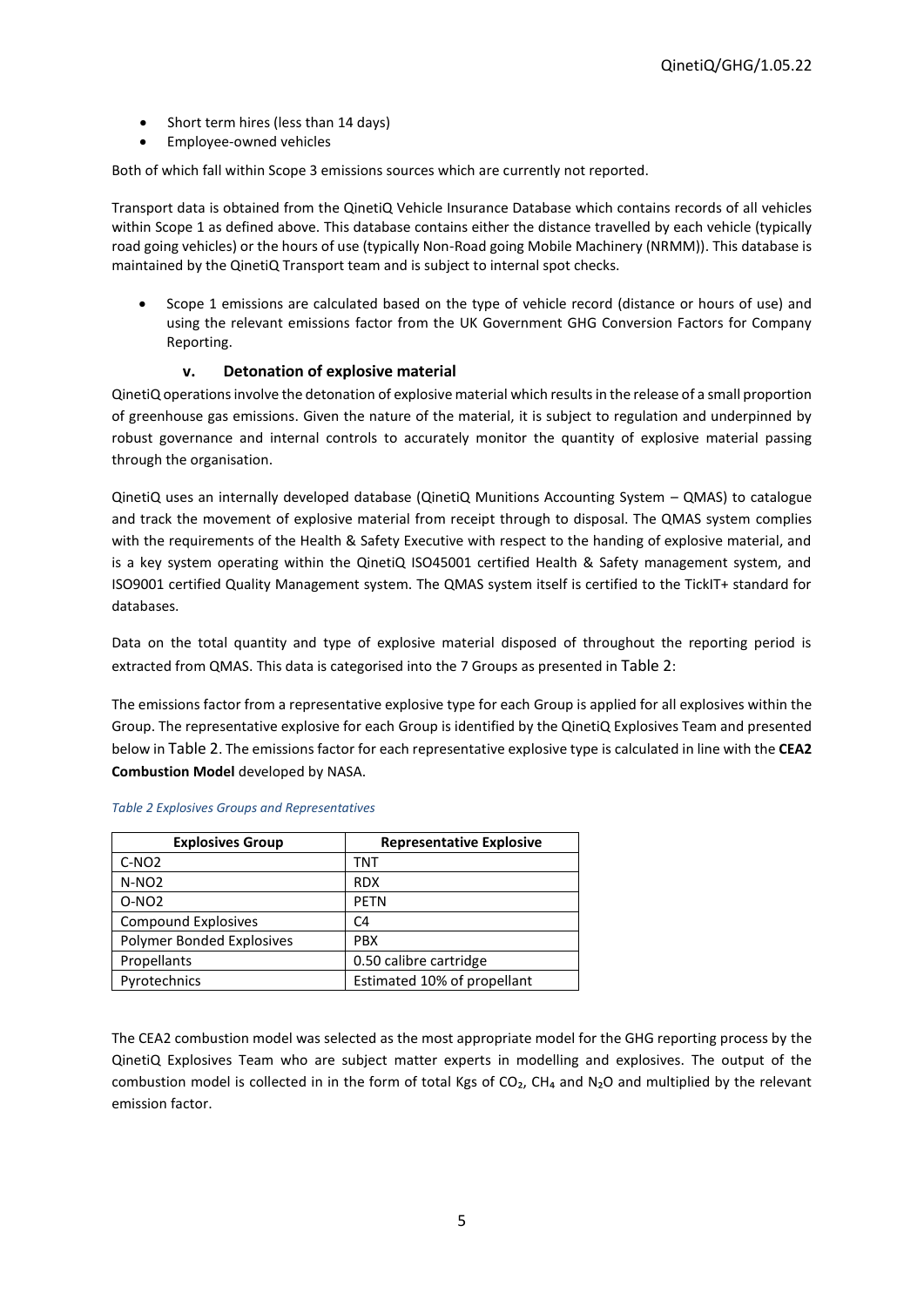- Short term hires (less than 14 days)
- Employee-owned vehicles

Both of which fall within Scope 3 emissions sources which are currently not reported.

Transport data is obtained from the QinetiQ Vehicle Insurance Database which contains records of all vehicles within Scope 1 as defined above. This database contains either the distance travelled by each vehicle (typically road going vehicles) or the hours of use (typically Non-Road going Mobile Machinery (NRMM)). This database is maintained by the QinetiQ Transport team and is subject to internal spot checks.

 Scope 1 emissions are calculated based on the type of vehicle record (distance or hours of use) and using the relevant emissions factor from the UK Government GHG Conversion Factors for Company Reporting.

## **v. Detonation of explosive material**

QinetiQ operations involve the detonation of explosive material which results in the release of a small proportion of greenhouse gas emissions. Given the nature of the material, it is subject to regulation and underpinned by robust governance and internal controls to accurately monitor the quantity of explosive material passing through the organisation.

QinetiQ uses an internally developed database (QinetiQ Munitions Accounting System – QMAS) to catalogue and track the movement of explosive material from receipt through to disposal. The QMAS system complies with the requirements of the Health & Safety Executive with respect to the handing of explosive material, and is a key system operating within the QinetiQ ISO45001 certified Health & Safety management system, and ISO9001 certified Quality Management system. The QMAS system itself is certified to the TickIT+ standard for databases.

Data on the total quantity and type of explosive material disposed of throughout the reporting period is extracted from QMAS. This data is categorised into the 7 Groups as presented in [Table 2](#page-4-0):

The emissions factor from a representative explosive type for each Group is applied for all explosives within the Group. The representative explosive for each Group is identified by the QinetiQ Explosives Team and presented below in [Table 2](#page-4-0). The emissions factor for each representative explosive type is calculated in line with the **CEA2 Combustion Model** developed by NASA.

| <b>Explosives Group</b>    | <b>Representative Explosive</b> |
|----------------------------|---------------------------------|
| $C-NO2$                    | TNT                             |
| $N-NO2$                    | <b>RDX</b>                      |
| $O-NO2$                    | <b>PETN</b>                     |
| <b>Compound Explosives</b> | C4                              |
| Polymer Bonded Explosives  | <b>PBX</b>                      |
| Propellants                | 0.50 calibre cartridge          |
| Pyrotechnics               | Estimated 10% of propellant     |

#### <span id="page-4-0"></span>*Table 2 Explosives Groups and Representatives*

The CEA2 combustion model was selected as the most appropriate model for the GHG reporting process by the QinetiQ Explosives Team who are subject matter experts in modelling and explosives. The output of the combustion model is collected in in the form of total Kgs of  $CO<sub>2</sub>$ , CH<sub>4</sub> and N<sub>2</sub>O and multiplied by the relevant emission factor.